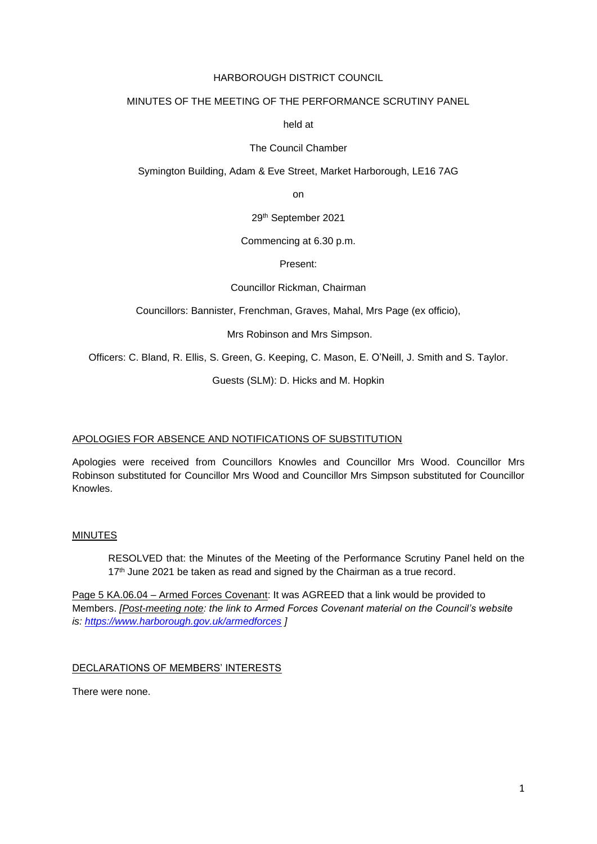#### HARBOROUGH DISTRICT COUNCIL

# MINUTES OF THE MEETING OF THE PERFORMANCE SCRUTINY PANEL

held at

## The Council Chamber

# Symington Building, Adam & Eve Street, Market Harborough, LE16 7AG

on

29<sup>th</sup> September 2021

# Commencing at 6.30 p.m.

Present:

Councillor Rickman, Chairman

Councillors: Bannister, Frenchman, Graves, Mahal, Mrs Page (ex officio),

Mrs Robinson and Mrs Simpson.

Officers: C. Bland, R. Ellis, S. Green, G. Keeping, C. Mason, E. O'Neill, J. Smith and S. Taylor.

Guests (SLM): D. Hicks and M. Hopkin

# APOLOGIES FOR ABSENCE AND NOTIFICATIONS OF SUBSTITUTION

Apologies were received from Councillors Knowles and Councillor Mrs Wood. Councillor Mrs Robinson substituted for Councillor Mrs Wood and Councillor Mrs Simpson substituted for Councillor Knowles.

#### MINUTES

RESOLVED that: the Minutes of the Meeting of the Performance Scrutiny Panel held on the 17<sup>th</sup> June 2021 be taken as read and signed by the Chairman as a true record.

Page 5 KA.06.04 – Armed Forces Covenant: It was AGREED that a link would be provided to Members. *[Post-meeting note: the link to Armed Forces Covenant material on the Council's website is:<https://www.harborough.gov.uk/armedforces> ]*

## DECLARATIONS OF MEMBERS' INTERESTS

There were none.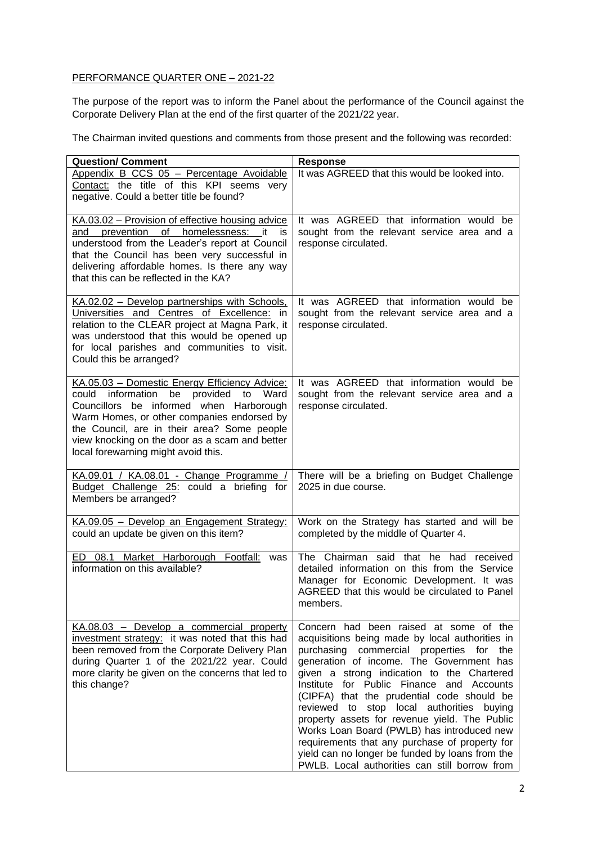#### PERFORMANCE QUARTER ONE – 2021-22

The purpose of the report was to inform the Panel about the performance of the Council against the Corporate Delivery Plan at the end of the first quarter of the 2021/22 year.

The Chairman invited questions and comments from those present and the following was recorded:

| <b>Question/ Comment</b>                                                                                                                                                                                                                                                                                                            | <b>Response</b>                                                                                                                                                                                                                                                                                                                                                                                                                                                                                                                                                                                                              |
|-------------------------------------------------------------------------------------------------------------------------------------------------------------------------------------------------------------------------------------------------------------------------------------------------------------------------------------|------------------------------------------------------------------------------------------------------------------------------------------------------------------------------------------------------------------------------------------------------------------------------------------------------------------------------------------------------------------------------------------------------------------------------------------------------------------------------------------------------------------------------------------------------------------------------------------------------------------------------|
| Appendix B CCS 05 - Percentage Avoidable<br>Contact: the title of this KPI seems very<br>negative. Could a better title be found?                                                                                                                                                                                                   | It was AGREED that this would be looked into.                                                                                                                                                                                                                                                                                                                                                                                                                                                                                                                                                                                |
| KA.03.02 – Provision of effective housing advice<br>and prevention of homelessness:<br>it<br>is<br>understood from the Leader's report at Council<br>that the Council has been very successful in<br>delivering affordable homes. Is there any way<br>that this can be reflected in the KA?                                         | It was AGREED that information would be<br>sought from the relevant service area and a<br>response circulated.                                                                                                                                                                                                                                                                                                                                                                                                                                                                                                               |
| KA.02.02 - Develop partnerships with Schools.<br>Universities and Centres of Excellence: in<br>relation to the CLEAR project at Magna Park, it<br>was understood that this would be opened up<br>for local parishes and communities to visit.<br>Could this be arranged?                                                            | It was AGREED that information would be<br>sought from the relevant service area and a<br>response circulated.                                                                                                                                                                                                                                                                                                                                                                                                                                                                                                               |
| KA.05.03 - Domestic Energy Efficiency Advice:<br>information<br>provided to<br>Ward<br>could<br>be<br>Councillors be informed when Harborough<br>Warm Homes, or other companies endorsed by<br>the Council, are in their area? Some people<br>view knocking on the door as a scam and better<br>local forewarning might avoid this. | It was AGREED that information would be<br>sought from the relevant service area and a<br>response circulated.                                                                                                                                                                                                                                                                                                                                                                                                                                                                                                               |
| <u>KA.09.01 / KA.08.01 - Change Programme /</u><br>Budget Challenge 25: could a briefing for<br>Members be arranged?                                                                                                                                                                                                                | There will be a briefing on Budget Challenge<br>2025 in due course.                                                                                                                                                                                                                                                                                                                                                                                                                                                                                                                                                          |
| KA.09.05 - Develop an Engagement Strategy:<br>could an update be given on this item?                                                                                                                                                                                                                                                | Work on the Strategy has started and will be<br>completed by the middle of Quarter 4.                                                                                                                                                                                                                                                                                                                                                                                                                                                                                                                                        |
| 08.1 Market Harborough Footfall:<br>ED.<br>was<br>information on this available?                                                                                                                                                                                                                                                    | The Chairman said that he<br>had<br>received<br>detailed information on this from the Service<br>Manager for Economic Development. It was<br>AGREED that this would be circulated to Panel<br>members.                                                                                                                                                                                                                                                                                                                                                                                                                       |
| KA.08.03 - Develop a commercial property<br>investment strategy: it was noted that this had<br>been removed from the Corporate Delivery Plan<br>during Quarter 1 of the 2021/22 year. Could<br>more clarity be given on the concerns that led to<br>this change?                                                                    | Concern had been raised at some of the<br>acquisitions being made by local authorities in<br>purchasing commercial properties for the<br>generation of income. The Government has<br>given a strong indication to the Chartered<br>Institute for Public Finance and Accounts<br>(CIPFA) that the prudential code should be<br>reviewed to stop local authorities buying<br>property assets for revenue yield. The Public<br>Works Loan Board (PWLB) has introduced new<br>requirements that any purchase of property for<br>yield can no longer be funded by loans from the<br>PWLB. Local authorities can still borrow from |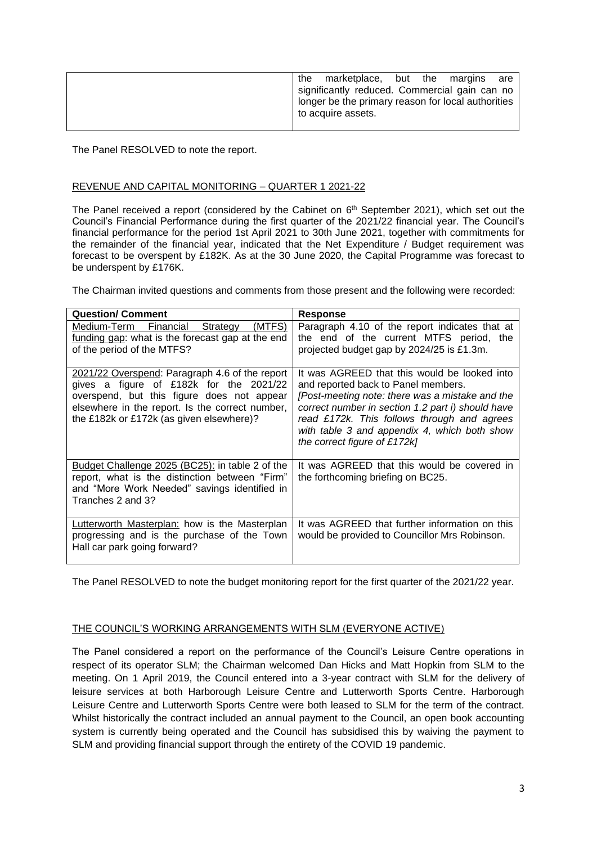| the | marketplace, but the margins                       |  | are |
|-----|----------------------------------------------------|--|-----|
|     | significantly reduced. Commercial gain can no      |  |     |
|     | longer be the primary reason for local authorities |  |     |
|     | to acquire assets.                                 |  |     |
|     |                                                    |  |     |

The Panel RESOLVED to note the report.

## REVENUE AND CAPITAL MONITORING – QUARTER 1 2021-22

The Panel received a report (considered by the Cabinet on  $6<sup>th</sup>$  September 2021), which set out the Council's Financial Performance during the first quarter of the 2021/22 financial year. The Council's financial performance for the period 1st April 2021 to 30th June 2021, together with commitments for the remainder of the financial year, indicated that the Net Expenditure / Budget requirement was forecast to be overspent by £182K. As at the 30 June 2020, the Capital Programme was forecast to be underspent by £176K.

The Chairman invited questions and comments from those present and the following were recorded:

| <b>Question/ Comment</b>                                                                                                                                                                                                               | <b>Response</b>                                                                                                                                                                                                                                                                                                            |
|----------------------------------------------------------------------------------------------------------------------------------------------------------------------------------------------------------------------------------------|----------------------------------------------------------------------------------------------------------------------------------------------------------------------------------------------------------------------------------------------------------------------------------------------------------------------------|
| Medium-Term Financial<br>Strategy<br>(MTFS)<br>funding gap: what is the forecast gap at the end<br>of the period of the MTFS?                                                                                                          | Paragraph 4.10 of the report indicates that at<br>the end of the current MTFS period, the<br>projected budget gap by 2024/25 is £1.3m.                                                                                                                                                                                     |
| 2021/22 Overspend: Paragraph 4.6 of the report<br>gives a figure of £182k for the 2021/22<br>overspend, but this figure does not appear<br>elsewhere in the report. Is the correct number,<br>the £182k or £172k (as given elsewhere)? | It was AGREED that this would be looked into<br>and reported back to Panel members.<br>[Post-meeting note: there was a mistake and the<br>correct number in section 1.2 part i) should have<br>read £172k. This follows through and agrees<br>with table 3 and appendix 4, which both show<br>the correct figure of £172k] |
| Budget Challenge 2025 (BC25): in table 2 of the<br>report, what is the distinction between "Firm"<br>and "More Work Needed" savings identified in<br>Tranches 2 and 3?                                                                 | It was AGREED that this would be covered in<br>the forthcoming briefing on BC25.                                                                                                                                                                                                                                           |
| Lutterworth Masterplan: how is the Masterplan<br>progressing and is the purchase of the Town<br>Hall car park going forward?                                                                                                           | It was AGREED that further information on this<br>would be provided to Councillor Mrs Robinson.                                                                                                                                                                                                                            |

The Panel RESOLVED to note the budget monitoring report for the first quarter of the 2021/22 year.

#### THE COUNCIL'S WORKING ARRANGEMENTS WITH SLM (EVERYONE ACTIVE)

The Panel considered a report on the performance of the Council's Leisure Centre operations in respect of its operator SLM; the Chairman welcomed Dan Hicks and Matt Hopkin from SLM to the meeting. On 1 April 2019, the Council entered into a 3-year contract with SLM for the delivery of leisure services at both Harborough Leisure Centre and Lutterworth Sports Centre. Harborough Leisure Centre and Lutterworth Sports Centre were both leased to SLM for the term of the contract. Whilst historically the contract included an annual payment to the Council, an open book accounting system is currently being operated and the Council has subsidised this by waiving the payment to SLM and providing financial support through the entirety of the COVID 19 pandemic.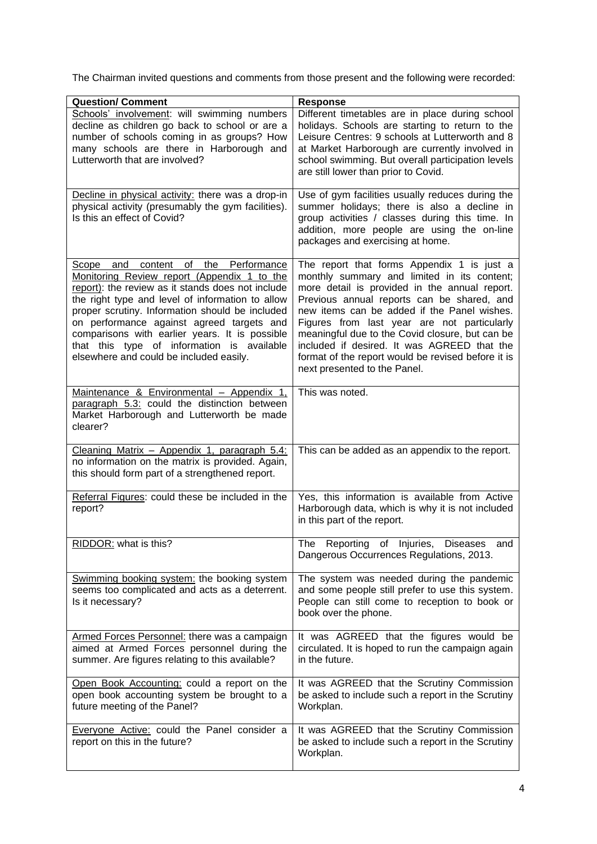The Chairman invited questions and comments from those present and the following were recorded:

| <b>Question/ Comment</b>                                                                                                                                                                                                                                                                                                                                                                                                                      | <b>Response</b>                                                                                                                                                                                                                                                                                                                                                                                                                                                                |
|-----------------------------------------------------------------------------------------------------------------------------------------------------------------------------------------------------------------------------------------------------------------------------------------------------------------------------------------------------------------------------------------------------------------------------------------------|--------------------------------------------------------------------------------------------------------------------------------------------------------------------------------------------------------------------------------------------------------------------------------------------------------------------------------------------------------------------------------------------------------------------------------------------------------------------------------|
| Schools' involvement: will swimming numbers<br>decline as children go back to school or are a<br>number of schools coming in as groups? How<br>many schools are there in Harborough and<br>Lutterworth that are involved?                                                                                                                                                                                                                     | Different timetables are in place during school<br>holidays. Schools are starting to return to the<br>Leisure Centres: 9 schools at Lutterworth and 8<br>at Market Harborough are currently involved in<br>school swimming. But overall participation levels<br>are still lower than prior to Covid.                                                                                                                                                                           |
| Decline in physical activity: there was a drop-in<br>physical activity (presumably the gym facilities).<br>Is this an effect of Covid?                                                                                                                                                                                                                                                                                                        | Use of gym facilities usually reduces during the<br>summer holidays; there is also a decline in<br>group activities / classes during this time. In<br>addition, more people are using the on-line<br>packages and exercising at home.                                                                                                                                                                                                                                          |
| Scope and<br>content of<br>the Performance<br>Monitoring Review report (Appendix 1 to the<br>report): the review as it stands does not include<br>the right type and level of information to allow<br>proper scrutiny. Information should be included<br>on performance against agreed targets and<br>comparisons with earlier years. It is possible<br>that this type of information is available<br>elsewhere and could be included easily. | The report that forms Appendix 1 is just a<br>monthly summary and limited in its content;<br>more detail is provided in the annual report.<br>Previous annual reports can be shared, and<br>new items can be added if the Panel wishes.<br>Figures from last year are not particularly<br>meaningful due to the Covid closure, but can be<br>included if desired. It was AGREED that the<br>format of the report would be revised before it is<br>next presented to the Panel. |
| Maintenance & Environmental - Appendix 1,<br>paragraph 5.3: could the distinction between<br>Market Harborough and Lutterworth be made<br>clearer?                                                                                                                                                                                                                                                                                            | This was noted.                                                                                                                                                                                                                                                                                                                                                                                                                                                                |
| Cleaning Matrix - Appendix 1, paragraph 5.4:<br>no information on the matrix is provided. Again,<br>this should form part of a strengthened report.                                                                                                                                                                                                                                                                                           | This can be added as an appendix to the report.                                                                                                                                                                                                                                                                                                                                                                                                                                |
| Referral Figures: could these be included in the<br>report?                                                                                                                                                                                                                                                                                                                                                                                   | Yes, this information is available from Active<br>Harborough data, which is why it is not included<br>in this part of the report.                                                                                                                                                                                                                                                                                                                                              |
| RIDDOR: what is this?                                                                                                                                                                                                                                                                                                                                                                                                                         | The Reporting of Injuries, Diseases and<br>Dangerous Occurrences Regulations, 2013.                                                                                                                                                                                                                                                                                                                                                                                            |
| Swimming booking system: the booking system<br>seems too complicated and acts as a deterrent.<br>Is it necessary?                                                                                                                                                                                                                                                                                                                             | The system was needed during the pandemic<br>and some people still prefer to use this system.<br>People can still come to reception to book or<br>book over the phone.                                                                                                                                                                                                                                                                                                         |
| Armed Forces Personnel: there was a campaign<br>aimed at Armed Forces personnel during the<br>summer. Are figures relating to this available?                                                                                                                                                                                                                                                                                                 | It was AGREED that the figures would be<br>circulated. It is hoped to run the campaign again<br>in the future.                                                                                                                                                                                                                                                                                                                                                                 |
| Open Book Accounting: could a report on the<br>open book accounting system be brought to a<br>future meeting of the Panel?                                                                                                                                                                                                                                                                                                                    | It was AGREED that the Scrutiny Commission<br>be asked to include such a report in the Scrutiny<br>Workplan.                                                                                                                                                                                                                                                                                                                                                                   |
| Everyone Active: could the Panel consider a<br>report on this in the future?                                                                                                                                                                                                                                                                                                                                                                  | It was AGREED that the Scrutiny Commission<br>be asked to include such a report in the Scrutiny<br>Workplan.                                                                                                                                                                                                                                                                                                                                                                   |